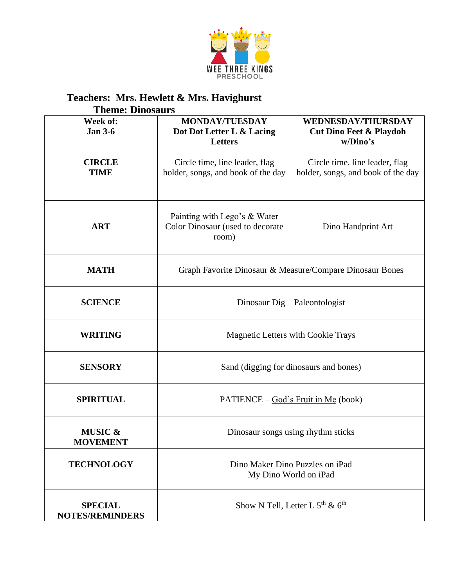

## **Teachers: Mrs. Hewlett & Mrs. Havighurst**

|                                          | <b>Theme: Dinosaurs</b>                                                   |                                                                             |  |  |  |
|------------------------------------------|---------------------------------------------------------------------------|-----------------------------------------------------------------------------|--|--|--|
| Week of:<br><b>Jan 3-6</b>               | <b>MONDAY/TUESDAY</b><br>Dot Dot Letter L & Lacing<br><b>Letters</b>      | <b>WEDNESDAY/THURSDAY</b><br><b>Cut Dino Feet &amp; Playdoh</b><br>w/Dino's |  |  |  |
| <b>CIRCLE</b><br><b>TIME</b>             | Circle time, line leader, flag<br>holder, songs, and book of the day      | Circle time, line leader, flag<br>holder, songs, and book of the day        |  |  |  |
| <b>ART</b>                               | Painting with Lego's & Water<br>Color Dinosaur (used to decorate<br>room) | Dino Handprint Art                                                          |  |  |  |
| <b>MATH</b>                              | Graph Favorite Dinosaur & Measure/Compare Dinosaur Bones                  |                                                                             |  |  |  |
| <b>SCIENCE</b>                           | Dinosaur Dig – Paleontologist                                             |                                                                             |  |  |  |
| <b>WRITING</b>                           | <b>Magnetic Letters with Cookie Trays</b>                                 |                                                                             |  |  |  |
| <b>SENSORY</b>                           | Sand (digging for dinosaurs and bones)                                    |                                                                             |  |  |  |
| <b>SPIRITUAL</b>                         | $PATHNCE - God's Fruit in Me (book)$                                      |                                                                             |  |  |  |
| <b>MUSIC &amp;</b><br><b>MOVEMENT</b>    | Dinosaur songs using rhythm sticks                                        |                                                                             |  |  |  |
| <b>TECHNOLOGY</b>                        | Dino Maker Dino Puzzles on iPad<br>My Dino World on iPad                  |                                                                             |  |  |  |
| <b>SPECIAL</b><br><b>NOTES/REMINDERS</b> | Show N Tell, Letter L $5th$ & $6th$                                       |                                                                             |  |  |  |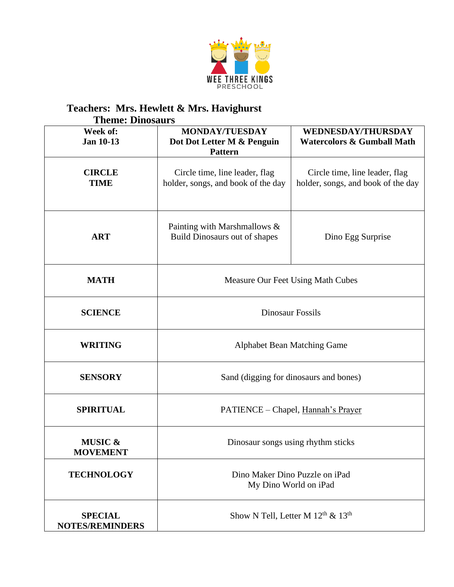

## **Teachers: Mrs. Hewlett & Mrs. Havighurst Theme: Dinosaurs**

| Week of:<br><b>Jan 10-13</b>             | MONDAY/TUESDAY<br>Dot Dot Letter M & Penguin<br><b>Pattern</b>       | <b>WEDNESDAY/THURSDAY</b><br><b>Watercolors &amp; Gumball Math</b>   |
|------------------------------------------|----------------------------------------------------------------------|----------------------------------------------------------------------|
| <b>CIRCLE</b><br><b>TIME</b>             | Circle time, line leader, flag<br>holder, songs, and book of the day | Circle time, line leader, flag<br>holder, songs, and book of the day |
| <b>ART</b>                               | Painting with Marshmallows &<br><b>Build Dinosaurs out of shapes</b> | Dino Egg Surprise                                                    |
| <b>MATH</b>                              | Measure Our Feet Using Math Cubes                                    |                                                                      |
| <b>SCIENCE</b>                           | <b>Dinosaur Fossils</b>                                              |                                                                      |
| <b>WRITING</b>                           | <b>Alphabet Bean Matching Game</b>                                   |                                                                      |
| <b>SENSORY</b>                           | Sand (digging for dinosaurs and bones)                               |                                                                      |
| <b>SPIRITUAL</b>                         | PATIENCE - Chapel, Hannah's Prayer                                   |                                                                      |
| MUSIC &<br><b>MOVEMENT</b>               | Dinosaur songs using rhythm sticks                                   |                                                                      |
| <b>TECHNOLOGY</b>                        | Dino Maker Dino Puzzle on iPad<br>My Dino World on iPad              |                                                                      |
| <b>SPECIAL</b><br><b>NOTES/REMINDERS</b> | Show N Tell, Letter M $12th$ & $13th$                                |                                                                      |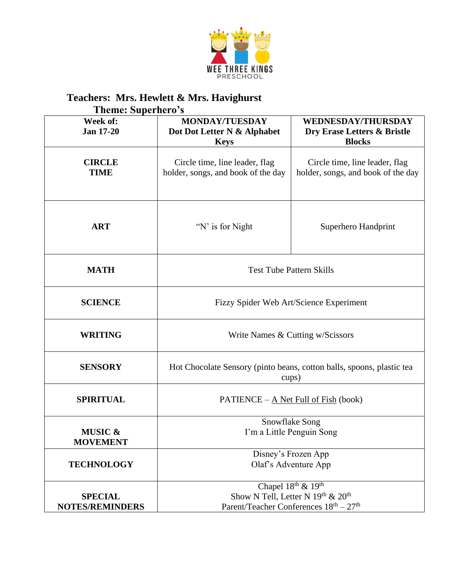

## **Teachers: Mrs. Hewlett & Mrs. Havighurst**

|                                          | <b>Theme: Superhero's</b>                                                                                     |                                                                           |  |  |  |
|------------------------------------------|---------------------------------------------------------------------------------------------------------------|---------------------------------------------------------------------------|--|--|--|
| Week of:<br><b>Jan 17-20</b>             | <b>MONDAY/TUESDAY</b><br>Dot Dot Letter N & Alphabet<br><b>Keys</b>                                           | <b>WEDNESDAY/THURSDAY</b><br>Dry Erase Letters & Bristle<br><b>Blocks</b> |  |  |  |
| <b>CIRCLE</b><br><b>TIME</b>             | Circle time, line leader, flag<br>holder, songs, and book of the day                                          | Circle time, line leader, flag<br>holder, songs, and book of the day      |  |  |  |
| <b>ART</b>                               | "N' is for Night"                                                                                             | Superhero Handprint                                                       |  |  |  |
| <b>MATH</b>                              | <b>Test Tube Pattern Skills</b>                                                                               |                                                                           |  |  |  |
| <b>SCIENCE</b>                           | Fizzy Spider Web Art/Science Experiment                                                                       |                                                                           |  |  |  |
| <b>WRITING</b>                           | Write Names & Cutting w/Scissors                                                                              |                                                                           |  |  |  |
| <b>SENSORY</b>                           | Hot Chocolate Sensory (pinto beans, cotton balls, spoons, plastic tea<br>cups)                                |                                                                           |  |  |  |
| <b>SPIRITUAL</b>                         | PATIENCE – A Net Full of Fish (book)                                                                          |                                                                           |  |  |  |
| <b>MUSIC &amp;</b><br><b>MOVEMENT</b>    | Snowflake Song<br>I'm a Little Penguin Song                                                                   |                                                                           |  |  |  |
| <b>TECHNOLOGY</b>                        | Disney's Frozen App<br>Olaf's Adventure App                                                                   |                                                                           |  |  |  |
| <b>SPECIAL</b><br><b>NOTES/REMINDERS</b> | Chapel 18th & 19th<br>Show N Tell, Letter N $19th$ & $20th$<br>Parent/Teacher Conferences $18^{th} - 27^{th}$ |                                                                           |  |  |  |